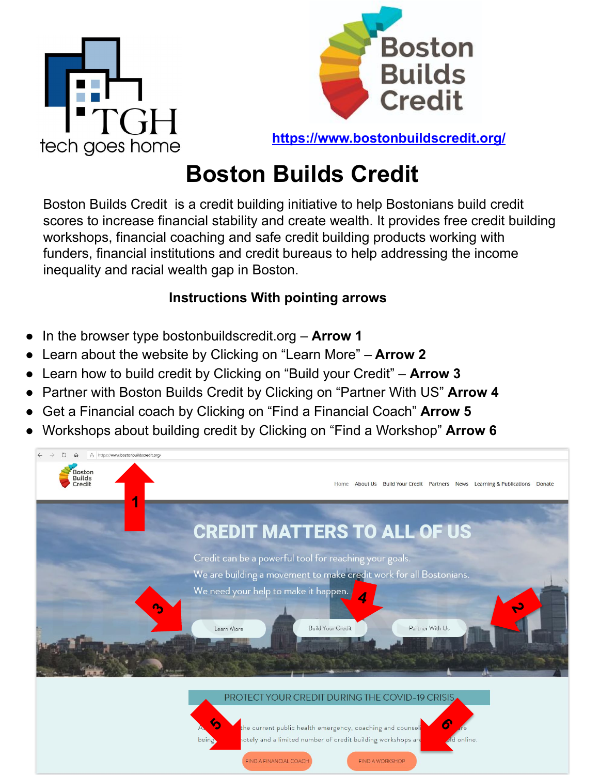



**<https://www.bostonbuildscredit.org/>**

# **Boston Builds Credit**

Boston Builds Credit is a credit building initiative to help Bostonians build credit scores to increase financial stability and create wealth. It provides free credit building workshops, financial coaching and safe credit building products working with funders, financial institutions and credit bureaus to help addressing the income inequality and racial wealth gap in Boston.

### **Instructions With pointing arrows**

- In the browser type bostonbuildscredit.org **Arrow 1**
- Learn about the website by Clicking on "Learn More" – **Arrow 2**
- Learn how to build credit by Clicking on "Build your Credit" **Arrow 3**
- Partner with Boston Builds Credit by Clicking on "Partner With US" Arrow 4
- Get a Financial coach by Clicking on "Find a Financial Coach" **Arrow 5**
- Workshops about building credit by Clicking on "Find a Workshop" **Arrow 6**

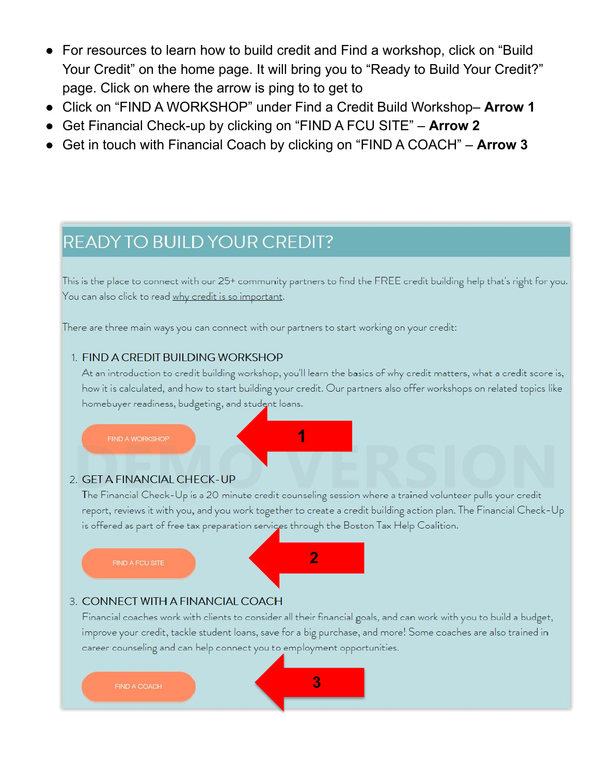- For resources to learn how to build credit and Find a workshop, click on "Build Your Credit" on the home page. It will bring you to "Ready to Build Your Credit?" page. Click on where the arrow is ping to to get to
- Click on "FIND A WORKSHOP" under Find a Credit Build Workshop– **Arrow 1**
- Get Financial Check-up by clicking on "FIND A FCU SITE" **Arrow 2**
- Get in touch with Financial Coach by clicking on "FIND A COACH" **Arrow 3**

## READY TO BUILD YOUR CREDIT?

This is the place to connect with our 25+ community partners to find the FREE credit building help that's right for you. You can also click to read why credit is so important.

There are three main ways you can connect with our partners to start working on your credit:

#### 1. FIND A CREDIT BUILDING WORKSHOP

At an introduction to credit building workshop, you'll learn the basics of why credit matters, what a credit score is, how it is calculated, and how to start building your credit. Our partners also offer workshops on related topics like homebuyer readiness, budgeting, and student loans.



#### 2. GET A FINANCIAL CHECK-UP

The Financial Check-Up is a 20 minute credit counseling session where a trained volunteer pulls your credit report, reviews it with you, and you work together to create a credit building action plan. The Financial Check-Up is offered as part of free tax preparation services through the Boston Tax Help Coalition.

FIND A FCU SITE



#### 3. CONNECT WITH A FINANCIAL COACH

Financial coaches work with clients to consider all their financial goals, and can work with you to build a budget, improve your credit, tackle student loans, save for a big purchase, and more! Some coaches are also trained in career counseling and can help connect you to employment opportunities.

**3**

**FIND A COACH**